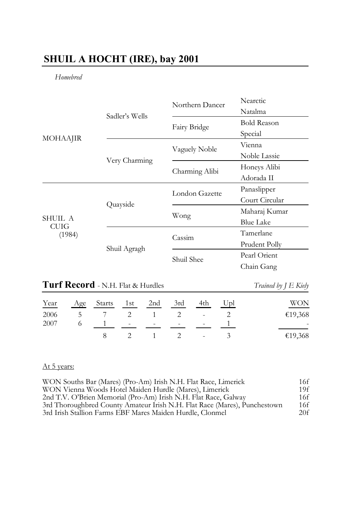## **SHUIL A HOCHT (IRE), bay 2001**

*Homebred*

| <b>MOHAAJIR</b>           |                | Northern Dancer | Nearctic           |
|---------------------------|----------------|-----------------|--------------------|
|                           | Sadler's Wells |                 | Natalma            |
|                           |                | Fairy Bridge    | <b>Bold Reason</b> |
|                           |                |                 | Special            |
|                           |                | Vaguely Noble   | Vienna             |
|                           | Very Charming  |                 | Noble Lassie       |
|                           |                | Charming Alibi  | Honeys Alibi       |
|                           |                |                 | Adorada II         |
| SHUIL A<br>CUIG<br>(1984) | Quayside       | London Gazette  | Panaslipper        |
|                           |                |                 | Court Circular     |
|                           |                | Wong            | Maharaj Kumar      |
|                           |                |                 | <b>Blue Lake</b>   |
|                           | Shuil Agragh   | Cassim          | Tamerlane          |
|                           |                |                 | Prudent Polly      |
|                           |                | Shuil Shee      | Pearl Orient       |
|                           |                |                 | Chain Gang         |

# **Turf Record** - N.H. Flat & Hurdles *Trained by J E Kiely*

| Year | Age Starts 1st 2nd 3rd 4th Upl |           |  | <b>WON</b> |
|------|--------------------------------|-----------|--|------------|
| 2006 | 5 7 2 1 2 - 2                  |           |  | €19,368    |
| 2007 |                                |           |  |            |
|      |                                | 2 1 2 - 3 |  | €19,368    |

## At 5 years:

| WON Souths Bar (Mares) (Pro-Am) Irish N.H. Flat Race, Limerick            | 16f |
|---------------------------------------------------------------------------|-----|
| WON Vienna Woods Hotel Maiden Hurdle (Mares), Limerick                    | 19f |
| 2nd T.V. O'Brien Memorial (Pro-Am) Irish N.H. Flat Race, Galway           | 16f |
| 3rd Thoroughbred County Amateur Irish N.H. Flat Race (Mares), Punchestown | 16f |
| 3rd Irish Stallion Farms EBF Mares Maiden Hurdle, Clonmel                 | 20f |